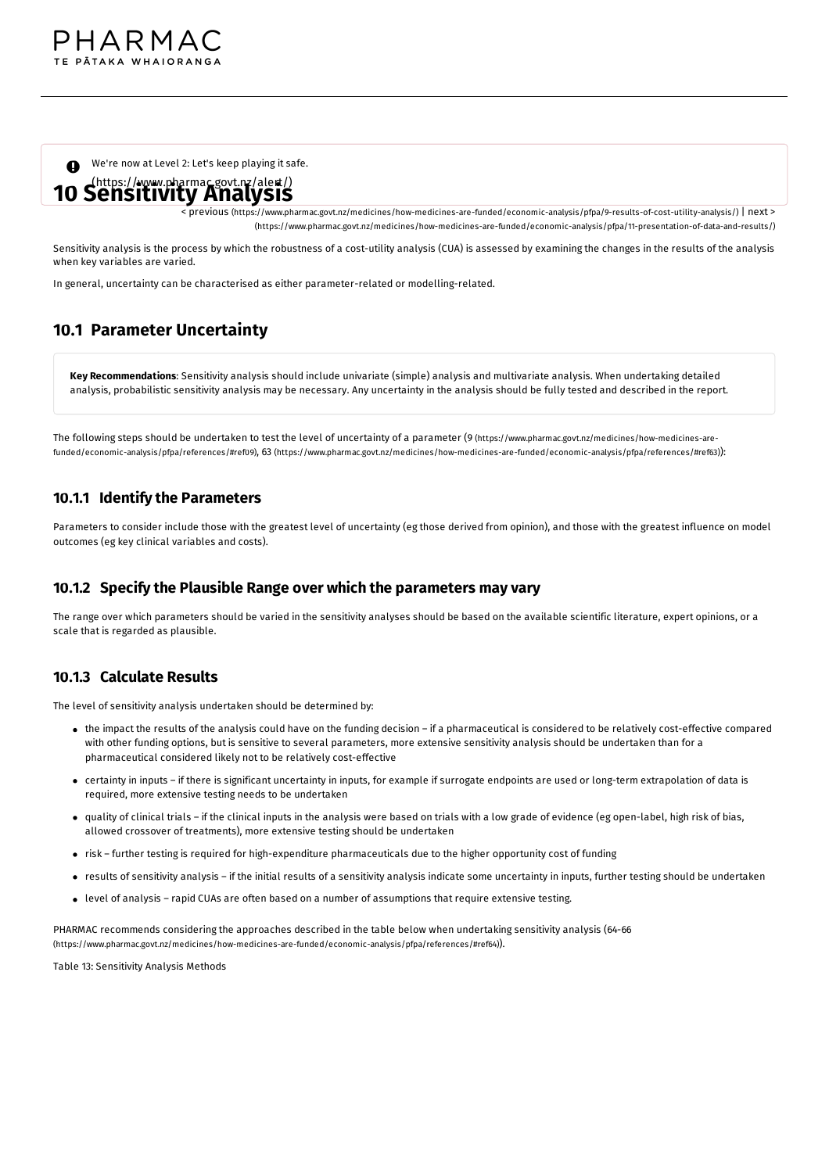We're now at Level 2: Let's keep playing it safe.

# [\(https://www.pharmac.govt.nz/alert/\)](https://www.pharmac.govt.nz/alert/) **10 Sensitivity Analysis**

< previous [\(https://www.pharmac.govt.nz/medicines/how-medicines-are-funded/economic-analysis/pfpa/9-results-of-cost-utility-analysis/\)](https://www.pharmac.govt.nz/medicines/how-medicines-are-funded/economic-analysis/pfpa/9-results-of-cost-utility-analysis/) | next > [\(https://www.pharmac.govt.nz/medicines/how-medicines-are-funded/economic-analysis/pfpa/11-presentation-of-data-and-results/\)](https://www.pharmac.govt.nz/medicines/how-medicines-are-funded/economic-analysis/pfpa/11-presentation-of-data-and-results/)

Sensitivity analysis is the process by which the robustness of a cost-utility analysis (CUA) is assessed by examining the changes in the results of the analysis when key variables are varied.

In general, uncertainty can be characterised as either parameter-related or modelling-related.

## **10.1 Parameter Uncertainty**

**Key Recommendations**: Sensitivity analysis should include univariate (simple) analysis and multivariate analysis. When undertaking detailed analysis, probabilistic sensitivity analysis may be necessary. Any uncertainty in the analysis should be fully tested and described in the report.

The following steps should be undertaken to test the level of uncertainty of a parameter (9 (https://www.pharmac.govt.nz/medicines/how-medicines-arefunded/economic-analysis/pfpa/references/#ref09), 63 [\(https://www.pharmac.govt.nz/medicines/how-medicines-are-funded/economic-analysis/pfpa/references/#ref6](https://www.pharmac.govt.nz/medicines/how-medicines-are-funded/economic-analysis/pfpa/references/#ref09)[3\)](https://www.pharmac.govt.nz/medicines/how-medicines-are-funded/economic-analysis/pfpa/references/#ref63)):

### **10.1.1 Identify the Parameters**

Parameters to consider include those with the greatest level of uncertainty (eg those derived from opinion), and those with the greatest influence on model outcomes (eg key clinical variables and costs).

#### **10.1.2 Specify the Plausible Range over which the parameters may vary**

The range over which parameters should be varied in the sensitivity analyses should be based on the available scientific literature, expert opinions, or a scale that is regarded as plausible.

#### **10.1.3 Calculate Results**

The level of sensitivity analysis undertaken should be determined by:

- the impact the results of the analysis could have on the funding decision if a pharmaceutical is considered to be relatively cost-effective compared with other funding options, but is sensitive to several parameters, more extensive sensitivity analysis should be undertaken than for a pharmaceutical considered likely not to be relatively cost-effective
- certainty in inputs if there is significant uncertainty in inputs, for example if surrogate endpoints are used or long-term extrapolation of data is required, more extensive testing needs to be undertaken
- quality of clinical trials if the clinical inputs in the analysis were based on trials with a low grade of evidence (eg open-label, high risk of bias, allowed crossover of treatments), more extensive testing should be undertaken
- risk further testing is required for high-expenditure pharmaceuticals due to the higher opportunity cost of funding
- results of sensitivity analysis if the initial results of a sensitivity analysis indicate some uncertainty in inputs, further testing should be undertaken
- level of analysis rapid CUAs are often based on a number of assumptions that require extensive testing.

PHARMAC recommends considering the approaches described in the table below when undertaking sensitivity analysis (64-66 [\(https://www.pharmac.govt.nz/medicines/how-medicines-are-funded/economic-analysis/pfpa/references/#ref64\)](https://www.pharmac.govt.nz/medicines/how-medicines-are-funded/economic-analysis/pfpa/references/#ref64)).

Table 13: Sensitivity Analysis Methods